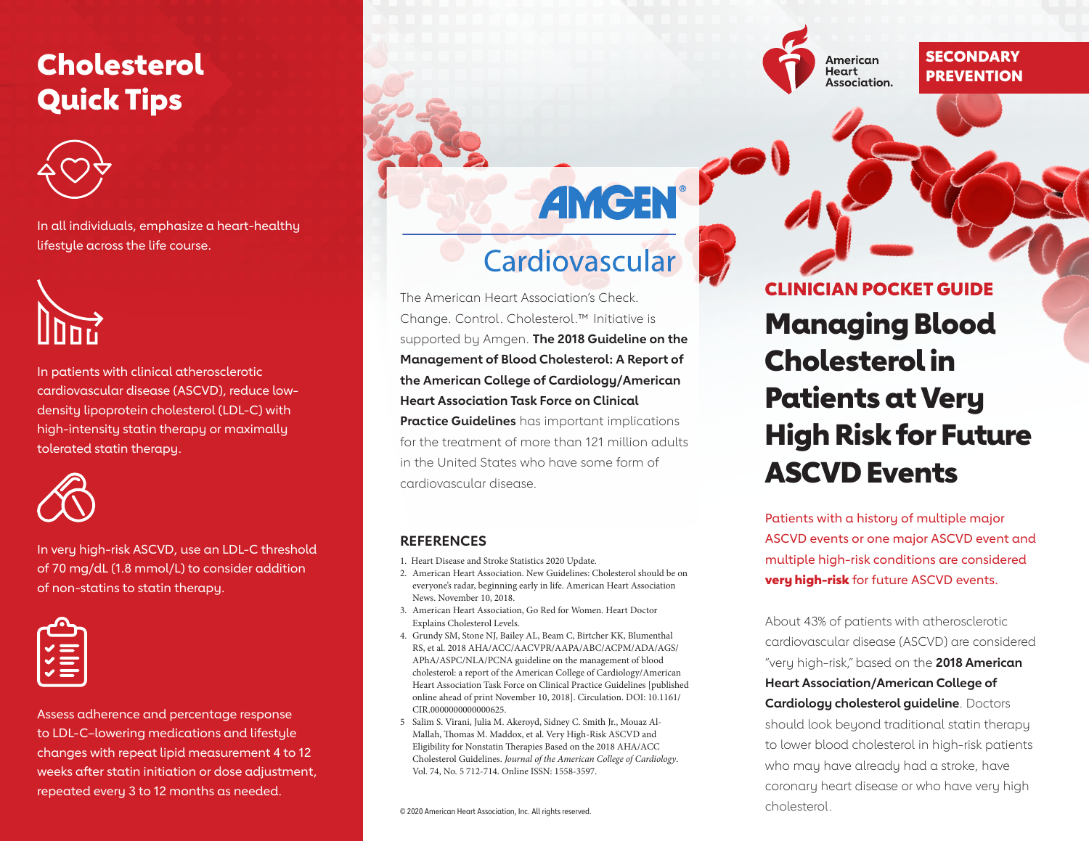### Cholesterol Quick Tips



In all individuals, emphasize a heart-healthy lifestyle across the life course.

In patients with clinical atherosclerotic cardiovascular disease (ASCVD), reduce lowdensity lipoprotein cholesterol (LDL-C) with high-intensity statin therapy or maximally tolerated statin therapy.



In very high-risk ASCVD, use an LDL-C threshold of 70 mg/dL (1.8 mmol/L) to consider addition of non-statins to statin therapy.



Assess adherence and percentage response to LDL-C–lowering medications and lifestyle changes with repeat lipid measurement 4 to 12 weeks after statin initiation or dose adjustment, repeated every 3 to 12 months as needed.

# Cardiovascular

**AMGEN** 

The American Heart Association's Check. Change. Control. Cholesterol.™ Initiative is supported by Amgen. **[The 2018 Guideline on the](https://www.heart.org/statistics)  [Management of Blood Cholesterol: A Report of](https://www.heart.org/statistics)  [the American College of Cardiology/American](https://www.heart.org/statistics)  [Heart Association Task Force on Clinical](https://www.heart.org/statistics)  [Practice Guidelines](https://www.heart.org/statistics)** has important implications for the treatment of more than 121 million adults in the United States who have some form of cardiovascular disease.

### **REFERENCES**

1. Heart Disease and Stroke Statistics 2020 Update.

- 2. American Heart Association. New Guidelines: Cholesterol should be on everyone's radar, beginning early in life. American Heart Association News. November 10, 2018.
- 3. American Heart Association, Go Red for Women. Heart Doctor Explains Cholesterol Levels.
- 4. Grundy SM, Stone NJ, Bailey AL, Beam C, Birtcher KK, Blumenthal RS, et al. 2018 AHA/ACC/AACVPR/AAPA/ABC/ACPM/ADA/AGS/ APhA/ASPC/NLA/PCNA guideline on the management of blood cholesterol: a report of the American College of Cardiology/American Heart Association Task Force on Clinical Practice Guidelines [published online ahead of print November 10, 2018]. Circulation. DOI: 10.1161/ CIR.0000000000000625.
- 5 Salim S. Virani, Julia M. Akeroyd, Sidney C. Smith Jr., Mouaz Al-Mallah, Thomas M. Maddox, et al. Very High-Risk ASCVD and Eligibility for Nonstatin Therapies Based on the 2018 AHA/ACC Cholesterol Guidelines. *Journal of the American College of Cardiology*. Vol. 74, No. 5 712-714. Online ISSN: 1558-3597.

cholesterol. © 2020 American Heart Association, Inc. All rights reserved.

## Managing Blood Cholesterol in Patients at Very High Risk for Future ASCVD Events CLINICIAN POCKET GUIDE

American Heart Association. **SECONDARY PREVENTION** 

Patients with a history of multiple major ASCVD events or one major ASCVD event and multiple high-risk conditions are considered **very high-risk** for future ASCVD events.

About 43% of patients with atherosclerotic cardiovascular disease (ASCVD) are considered "very high-risk," based on the **2018 American Heart Association/American College of Cardiology cholesterol guideline**. Doctors should look beyond traditional statin therapy to lower blood cholesterol in high-risk patients who may have already had a stroke, have coronary heart disease or who have very high